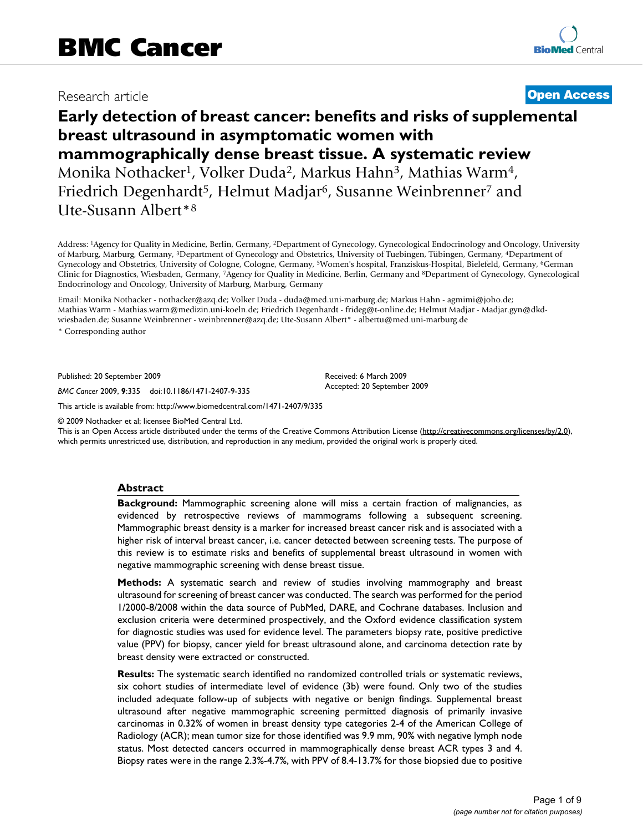# Research article **[Open Access](http://www.biomedcentral.com/info/about/charter/)**

# **Early detection of breast cancer: benefits and risks of supplemental breast ultrasound in asymptomatic women with mammographically dense breast tissue. A systematic review** Monika Nothacker<sup>1</sup>, Volker Duda<sup>2</sup>, Markus Hahn<sup>3</sup>, Mathias Warm<sup>4</sup>, Friedrich Degenhardt<sup>5</sup>, Helmut Madjar<sup>6</sup>, Susanne Weinbrenner<sup>7</sup> and Ute-Susann Albert\*8

Address: 1Agency for Quality in Medicine, Berlin, Germany, 2Department of Gynecology, Gynecological Endocrinology and Oncology, University of Marburg, Marburg, Germany, 3Department of Gynecology and Obstetrics, University of Tuebingen, Tübingen, Germany, 4Department of Gynecology and Obstetrics, University of Cologne, Cologne, Germany, 5Women's hospital, Franziskus-Hospital, Bielefeld, Germany, 6German Clinic for Diagnostics, Wiesbaden, Germany, 7Agency for Quality in Medicine, Berlin, Germany and 8Department of Gynecology, Gynecological Endocrinology and Oncology, University of Marburg, Marburg, Germany

Email: Monika Nothacker - nothacker@azq.de; Volker Duda - duda@med.uni-marburg.de; Markus Hahn - agmimi@joho.de; Mathias Warm - Mathias.warm@medizin.uni-koeln.de; Friedrich Degenhardt - frideg@t-online.de; Helmut Madjar - Madjar.gyn@dkdwiesbaden.de; Susanne Weinbrenner - weinbrenner@azq.de; Ute-Susann Albert\* - albertu@med.uni-marburg.de

\* Corresponding author

Published: 20 September 2009

*BMC Cancer* 2009, **9**:335 doi:10.1186/1471-2407-9-335

[This article is available from: http://www.biomedcentral.com/1471-2407/9/335](http://www.biomedcentral.com/1471-2407/9/335)

© 2009 Nothacker et al; licensee BioMed Central Ltd.

This is an Open Access article distributed under the terms of the Creative Commons Attribution License [\(http://creativecommons.org/licenses/by/2.0\)](http://creativecommons.org/licenses/by/2.0), which permits unrestricted use, distribution, and reproduction in any medium, provided the original work is properly cited.

Received: 6 March 2009 Accepted: 20 September 2009

#### **Abstract**

**Background:** Mammographic screening alone will miss a certain fraction of malignancies, as evidenced by retrospective reviews of mammograms following a subsequent screening. Mammographic breast density is a marker for increased breast cancer risk and is associated with a higher risk of interval breast cancer, i.e. cancer detected between screening tests. The purpose of this review is to estimate risks and benefits of supplemental breast ultrasound in women with negative mammographic screening with dense breast tissue.

**Methods:** A systematic search and review of studies involving mammography and breast ultrasound for screening of breast cancer was conducted. The search was performed for the period 1/2000-8/2008 within the data source of PubMed, DARE, and Cochrane databases. Inclusion and exclusion criteria were determined prospectively, and the Oxford evidence classification system for diagnostic studies was used for evidence level. The parameters biopsy rate, positive predictive value (PPV) for biopsy, cancer yield for breast ultrasound alone, and carcinoma detection rate by breast density were extracted or constructed.

**Results:** The systematic search identified no randomized controlled trials or systematic reviews, six cohort studies of intermediate level of evidence (3b) were found. Only two of the studies included adequate follow-up of subjects with negative or benign findings. Supplemental breast ultrasound after negative mammographic screening permitted diagnosis of primarily invasive carcinomas in 0.32% of women in breast density type categories 2-4 of the American College of Radiology (ACR); mean tumor size for those identified was 9.9 mm, 90% with negative lymph node status. Most detected cancers occurred in mammographically dense breast ACR types 3 and 4. Biopsy rates were in the range 2.3%-4.7%, with PPV of 8.4-13.7% for those biopsied due to positive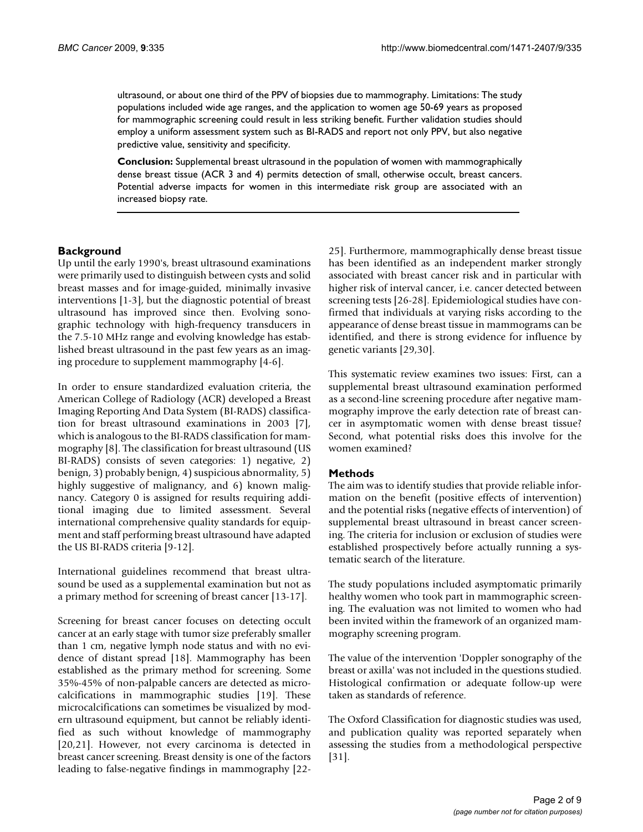ultrasound, or about one third of the PPV of biopsies due to mammography. Limitations: The study populations included wide age ranges, and the application to women age 50-69 years as proposed for mammographic screening could result in less striking benefit. Further validation studies should employ a uniform assessment system such as BI-RADS and report not only PPV, but also negative predictive value, sensitivity and specificity.

**Conclusion:** Supplemental breast ultrasound in the population of women with mammographically dense breast tissue (ACR 3 and 4) permits detection of small, otherwise occult, breast cancers. Potential adverse impacts for women in this intermediate risk group are associated with an increased biopsy rate.

# **Background**

Up until the early 1990's, breast ultrasound examinations were primarily used to distinguish between cysts and solid breast masses and for image-guided, minimally invasive interventions [1-3], but the diagnostic potential of breast ultrasound has improved since then. Evolving sonographic technology with high-frequency transducers in the 7.5-10 MHz range and evolving knowledge has established breast ultrasound in the past few years as an imaging procedure to supplement mammography [4-6].

In order to ensure standardized evaluation criteria, the American College of Radiology (ACR) developed a Breast Imaging Reporting And Data System (BI-RADS) classification for breast ultrasound examinations in 2003 [7], which is analogous to the BI-RADS classification for mammography [8]. The classification for breast ultrasound (US BI-RADS) consists of seven categories: 1) negative, 2) benign, 3) probably benign, 4) suspicious abnormality, 5) highly suggestive of malignancy, and 6) known malignancy. Category 0 is assigned for results requiring additional imaging due to limited assessment. Several international comprehensive quality standards for equipment and staff performing breast ultrasound have adapted the US BI-RADS criteria [9-12].

International guidelines recommend that breast ultrasound be used as a supplemental examination but not as a primary method for screening of breast cancer [13-17].

Screening for breast cancer focuses on detecting occult cancer at an early stage with tumor size preferably smaller than 1 cm, negative lymph node status and with no evidence of distant spread [18]. Mammography has been established as the primary method for screening. Some 35%-45% of non-palpable cancers are detected as microcalcifications in mammographic studies [19]. These microcalcifications can sometimes be visualized by modern ultrasound equipment, but cannot be reliably identified as such without knowledge of mammography [20,21]. However, not every carcinoma is detected in breast cancer screening. Breast density is one of the factors leading to false-negative findings in mammography [2225]. Furthermore, mammographically dense breast tissue has been identified as an independent marker strongly associated with breast cancer risk and in particular with higher risk of interval cancer, i.e. cancer detected between screening tests [26-28]. Epidemiological studies have confirmed that individuals at varying risks according to the appearance of dense breast tissue in mammograms can be identified, and there is strong evidence for influence by genetic variants [29,30].

This systematic review examines two issues: First, can a supplemental breast ultrasound examination performed as a second-line screening procedure after negative mammography improve the early detection rate of breast cancer in asymptomatic women with dense breast tissue? Second, what potential risks does this involve for the women examined?

#### **Methods**

The aim was to identify studies that provide reliable information on the benefit (positive effects of intervention) and the potential risks (negative effects of intervention) of supplemental breast ultrasound in breast cancer screening. The criteria for inclusion or exclusion of studies were established prospectively before actually running a systematic search of the literature.

The study populations included asymptomatic primarily healthy women who took part in mammographic screening. The evaluation was not limited to women who had been invited within the framework of an organized mammography screening program.

The value of the intervention 'Doppler sonography of the breast or axilla' was not included in the questions studied. Histological confirmation or adequate follow-up were taken as standards of reference.

The Oxford Classification for diagnostic studies was used, and publication quality was reported separately when assessing the studies from a methodological perspective [31].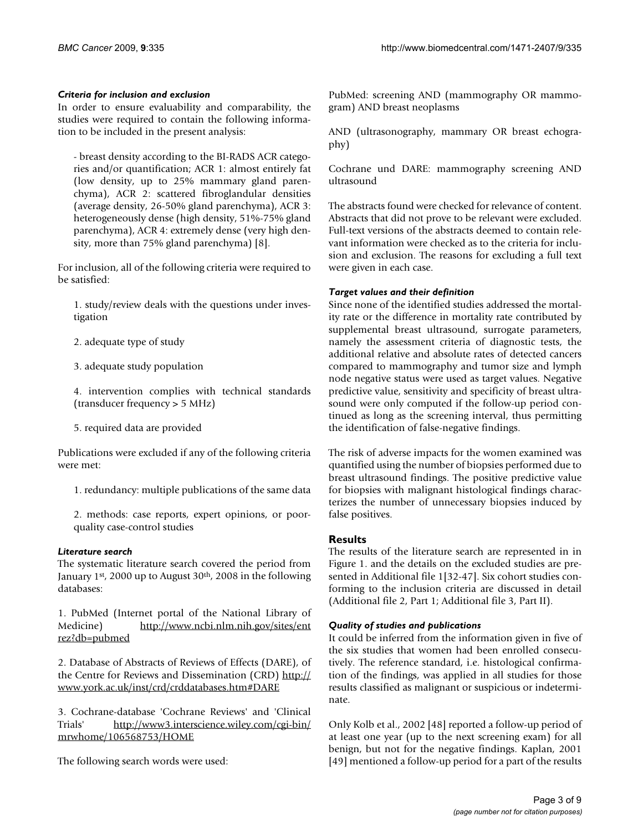#### *Criteria for inclusion and exclusion*

In order to ensure evaluability and comparability, the studies were required to contain the following information to be included in the present analysis:

- breast density according to the BI-RADS ACR categories and/or quantification; ACR 1: almost entirely fat (low density, up to 25% mammary gland parenchyma), ACR 2: scattered fibroglandular densities (average density, 26-50% gland parenchyma), ACR 3: heterogeneously dense (high density, 51%-75% gland parenchyma), ACR 4: extremely dense (very high density, more than 75% gland parenchyma) [8].

For inclusion, all of the following criteria were required to be satisfied:

1. study/review deals with the questions under investigation

2. adequate type of study

3. adequate study population

4. intervention complies with technical standards (transducer frequency > 5 MHz)

5. required data are provided

Publications were excluded if any of the following criteria were met:

1. redundancy: multiple publications of the same data

2. methods: case reports, expert opinions, or poorquality case-control studies

#### *Literature search*

The systematic literature search covered the period from January 1st, 2000 up to August 30th, 2008 in the following databases:

1. PubMed (Internet portal of the National Library of Medicine) [http://www.ncbi.nlm.nih.gov/sites/ent](http://www.ncbi.nlm.nih.gov/sites/entrez?db=pubmed) [rez?db=pubmed](http://www.ncbi.nlm.nih.gov/sites/entrez?db=pubmed)

2. Database of Abstracts of Reviews of Effects (DARE), of the Centre for Reviews and Dissemination (CRD) [http://](http://www.york.ac.uk/inst/crd/crddatabases.htm#DARE) [www.york.ac.uk/inst/crd/crddatabases.htm#DARE](http://www.york.ac.uk/inst/crd/crddatabases.htm#DARE)

3. Cochrane-database 'Cochrane Reviews' and 'Clinical Trials' [http://www3.interscience.wiley.com/cgi-bin/](http://www3.interscience.wiley.com/cgi-bin/mrwhome/106568753/HOME) [mrwhome/106568753/HOME](http://www3.interscience.wiley.com/cgi-bin/mrwhome/106568753/HOME)

The following search words were used:

PubMed: screening AND (mammography OR mammogram) AND breast neoplasms

AND (ultrasonography, mammary OR breast echography)

Cochrane und DARE: mammography screening AND ultrasound

The abstracts found were checked for relevance of content. Abstracts that did not prove to be relevant were excluded. Full-text versions of the abstracts deemed to contain relevant information were checked as to the criteria for inclusion and exclusion. The reasons for excluding a full text were given in each case.

#### *Target values and their definition*

Since none of the identified studies addressed the mortality rate or the difference in mortality rate contributed by supplemental breast ultrasound, surrogate parameters, namely the assessment criteria of diagnostic tests, the additional relative and absolute rates of detected cancers compared to mammography and tumor size and lymph node negative status were used as target values. Negative predictive value, sensitivity and specificity of breast ultrasound were only computed if the follow-up period continued as long as the screening interval, thus permitting the identification of false-negative findings.

The risk of adverse impacts for the women examined was quantified using the number of biopsies performed due to breast ultrasound findings. The positive predictive value for biopsies with malignant histological findings characterizes the number of unnecessary biopsies induced by false positives.

#### **Results**

The results of the literature search are represented in in Figure 1. and the details on the excluded studies are presented in Additional file 1[32-47]. Six cohort studies conforming to the inclusion criteria are discussed in detail (Additional file 2, Part 1; Additional file 3, Part II).

#### *Quality of studies and publications*

It could be inferred from the information given in five of the six studies that women had been enrolled consecutively. The reference standard, i.e. histological confirmation of the findings, was applied in all studies for those results classified as malignant or suspicious or indeterminate.

Only Kolb et al., 2002 [48] reported a follow-up period of at least one year (up to the next screening exam) for all benign, but not for the negative findings. Kaplan, 2001 [49] mentioned a follow-up period for a part of the results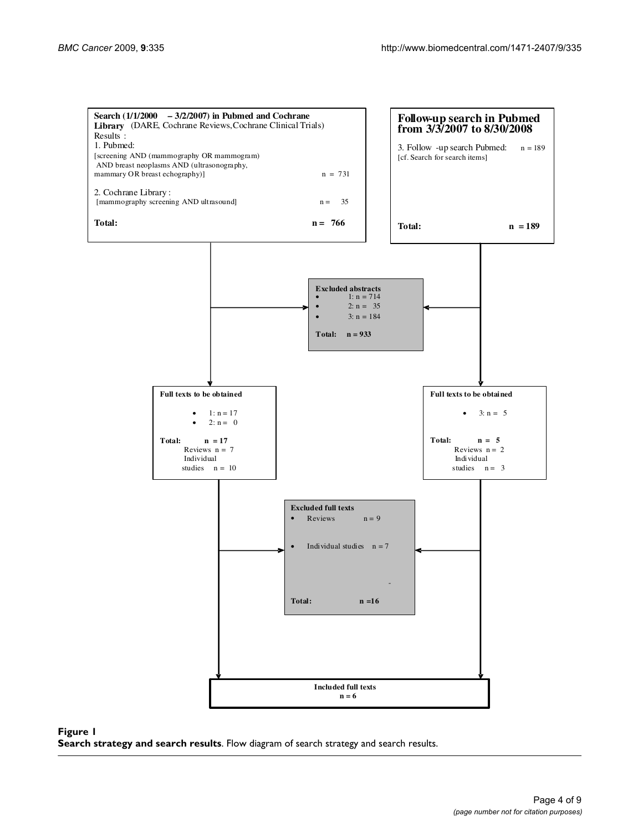

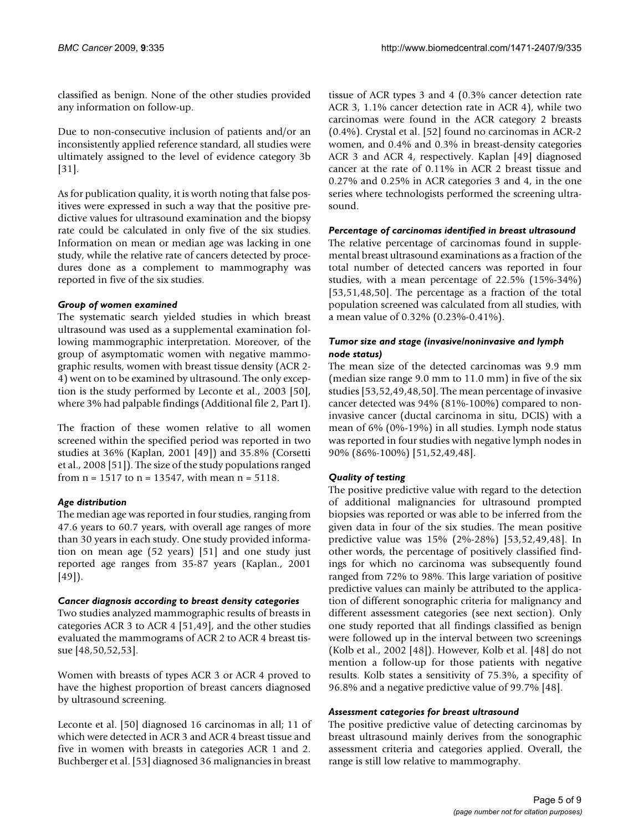classified as benign. None of the other studies provided any information on follow-up.

Due to non-consecutive inclusion of patients and/or an inconsistently applied reference standard, all studies were ultimately assigned to the level of evidence category 3b [31].

As for publication quality, it is worth noting that false positives were expressed in such a way that the positive predictive values for ultrasound examination and the biopsy rate could be calculated in only five of the six studies. Information on mean or median age was lacking in one study, while the relative rate of cancers detected by procedures done as a complement to mammography was reported in five of the six studies.

# *Group of women examined*

The systematic search yielded studies in which breast ultrasound was used as a supplemental examination following mammographic interpretation. Moreover, of the group of asymptomatic women with negative mammographic results, women with breast tissue density (ACR 2- 4) went on to be examined by ultrasound. The only exception is the study performed by Leconte et al., 2003 [50], where 3% had palpable findings (Additional file 2, Part I).

The fraction of these women relative to all women screened within the specified period was reported in two studies at 36% (Kaplan, 2001 [49]) and 35.8% (Corsetti et al., 2008 [51]). The size of the study populations ranged from  $n = 1517$  to  $n = 13547$ , with mean  $n = 5118$ .

# *Age distribution*

The median age was reported in four studies, ranging from 47.6 years to 60.7 years, with overall age ranges of more than 30 years in each study. One study provided information on mean age (52 years) [51] and one study just reported age ranges from 35-87 years (Kaplan., 2001 [49]).

#### *Cancer diagnosis according to breast density categories*

Two studies analyzed mammographic results of breasts in categories ACR 3 to ACR 4 [51,49], and the other studies evaluated the mammograms of ACR 2 to ACR 4 breast tissue [48,50,52,53].

Women with breasts of types ACR 3 or ACR 4 proved to have the highest proportion of breast cancers diagnosed by ultrasound screening.

Leconte et al. [50] diagnosed 16 carcinomas in all; 11 of which were detected in ACR 3 and ACR 4 breast tissue and five in women with breasts in categories ACR 1 and 2. Buchberger et al. [53] diagnosed 36 malignancies in breast tissue of ACR types 3 and 4 (0.3% cancer detection rate ACR 3, 1.1% cancer detection rate in ACR 4), while two carcinomas were found in the ACR category 2 breasts (0.4%). Crystal et al. [52] found no carcinomas in ACR-2 women, and 0.4% and 0.3% in breast-density categories ACR 3 and ACR 4, respectively. Kaplan [49] diagnosed cancer at the rate of 0.11% in ACR 2 breast tissue and 0.27% and 0.25% in ACR categories 3 and 4, in the one series where technologists performed the screening ultrasound.

# *Percentage of carcinomas identified in breast ultrasound*

The relative percentage of carcinomas found in supplemental breast ultrasound examinations as a fraction of the total number of detected cancers was reported in four studies, with a mean percentage of 22.5% (15%-34%) [53,51,48,50]. The percentage as a fraction of the total population screened was calculated from all studies, with a mean value of 0.32% (0.23%-0.41%).

#### *Tumor size and stage (invasive/noninvasive and lymph node status)*

The mean size of the detected carcinomas was 9.9 mm (median size range 9.0 mm to 11.0 mm) in five of the six studies [53,52,49,48,50]. The mean percentage of invasive cancer detected was 94% (81%-100%) compared to noninvasive cancer (ductal carcinoma in situ, DCIS) with a mean of 6% (0%-19%) in all studies. Lymph node status was reported in four studies with negative lymph nodes in 90% (86%-100%) [51,52,49,48].

# *Quality of testing*

The positive predictive value with regard to the detection of additional malignancies for ultrasound prompted biopsies was reported or was able to be inferred from the given data in four of the six studies. The mean positive predictive value was 15% (2%-28%) [53,52,49,48]. In other words, the percentage of positively classified findings for which no carcinoma was subsequently found ranged from 72% to 98%. This large variation of positive predictive values can mainly be attributed to the application of different sonographic criteria for malignancy and different assessment categories (see next section). Only one study reported that all findings classified as benign were followed up in the interval between two screenings (Kolb et al., 2002 [48]). However, Kolb et al. [48] do not mention a follow-up for those patients with negative results. Kolb states a sensitivity of 75.3%, a specifity of 96.8% and a negative predictive value of 99.7% [48].

# *Assessment categories for breast ultrasound*

The positive predictive value of detecting carcinomas by breast ultrasound mainly derives from the sonographic assessment criteria and categories applied. Overall, the range is still low relative to mammography.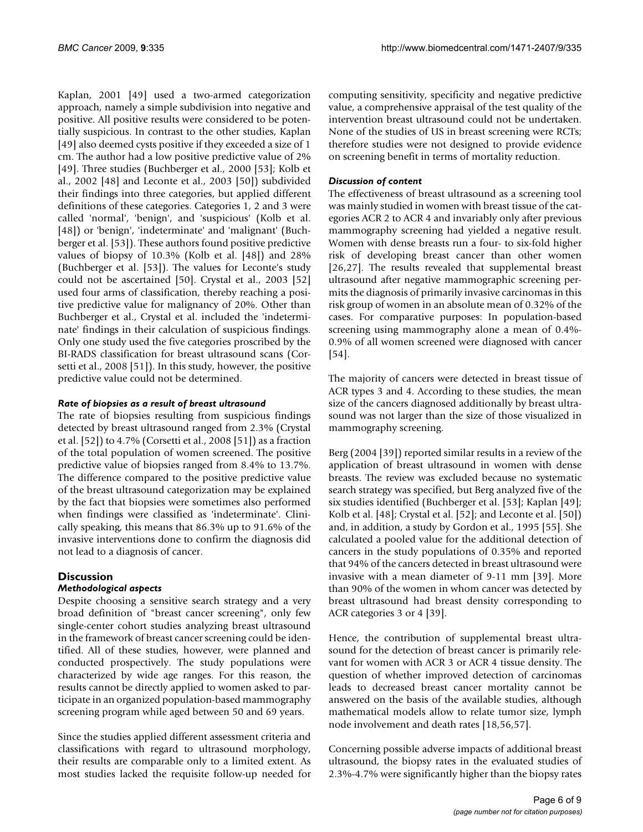Kaplan, 2001 [49] used a two-armed categorization approach, namely a simple subdivision into negative and positive. All positive results were considered to be potentially suspicious. In contrast to the other studies, Kaplan [49] also deemed cysts positive if they exceeded a size of 1 cm. The author had a low positive predictive value of 2% [49]. Three studies (Buchberger et al., 2000 [53]; Kolb et al., 2002 [48] and Leconte et al., 2003 [50]) subdivided their findings into three categories, but applied different definitions of these categories. Categories 1, 2 and 3 were called 'normal', 'benign', and 'suspicious' (Kolb et al. [48]) or 'benign', 'indeterminate' and 'malignant' (Buchberger et al. [53]). These authors found positive predictive values of biopsy of 10.3% (Kolb et al. [48]) and 28% (Buchberger et al. [53]). The values for Leconte's study could not be ascertained [50]. Crystal et al., 2003 [52] used four arms of classification, thereby reaching a positive predictive value for malignancy of 20%. Other than Buchberger et al., Crystal et al. included the 'indeterminate' findings in their calculation of suspicious findings. Only one study used the five categories proscribed by the BI-RADS classification for breast ultrasound scans (Corsetti et al., 2008 [51]). In this study, however, the positive predictive value could not be determined.

#### *Rate of biopsies as a result of breast ultrasound*

The rate of biopsies resulting from suspicious findings detected by breast ultrasound ranged from 2.3% (Crystal et al. [52]) to 4.7% (Corsetti et al., 2008 [51]) as a fraction of the total population of women screened. The positive predictive value of biopsies ranged from 8.4% to 13.7%. The difference compared to the positive predictive value of the breast ultrasound categorization may be explained by the fact that biopsies were sometimes also performed when findings were classified as 'indeterminate'. Clinically speaking, this means that 86.3% up to 91.6% of the invasive interventions done to confirm the diagnosis did not lead to a diagnosis of cancer.

# **Discussion**

#### *Methodological aspects*

Despite choosing a sensitive search strategy and a very broad definition of "breast cancer screening", only few single-center cohort studies analyzing breast ultrasound in the framework of breast cancer screening could be identified. All of these studies, however, were planned and conducted prospectively. The study populations were characterized by wide age ranges. For this reason, the results cannot be directly applied to women asked to participate in an organized population-based mammography screening program while aged between 50 and 69 years.

Since the studies applied different assessment criteria and classifications with regard to ultrasound morphology, their results are comparable only to a limited extent. As most studies lacked the requisite follow-up needed for computing sensitivity, specificity and negative predictive value, a comprehensive appraisal of the test quality of the intervention breast ultrasound could not be undertaken. None of the studies of US in breast screening were RCTs; therefore studies were not designed to provide evidence on screening benefit in terms of mortality reduction.

### *Discussion of content*

The effectiveness of breast ultrasound as a screening tool was mainly studied in women with breast tissue of the categories ACR 2 to ACR 4 and invariably only after previous mammography screening had yielded a negative result. Women with dense breasts run a four- to six-fold higher risk of developing breast cancer than other women [26,27]. The results revealed that supplemental breast ultrasound after negative mammographic screening permits the diagnosis of primarily invasive carcinomas in this risk group of women in an absolute mean of 0.32% of the cases. For comparative purposes: In population-based screening using mammography alone a mean of 0.4%- 0.9% of all women screened were diagnosed with cancer [54].

The majority of cancers were detected in breast tissue of ACR types 3 and 4. According to these studies, the mean size of the cancers diagnosed additionally by breast ultrasound was not larger than the size of those visualized in mammography screening.

Berg (2004 [39]) reported similar results in a review of the application of breast ultrasound in women with dense breasts. The review was excluded because no systematic search strategy was specified, but Berg analyzed five of the six studies identified (Buchberger et al. [53]; Kaplan [49]; Kolb et al. [48]; Crystal et al. [52]; and Leconte et al. [50]) and, in addition, a study by Gordon et al., 1995 [55]. She calculated a pooled value for the additional detection of cancers in the study populations of 0.35% and reported that 94% of the cancers detected in breast ultrasound were invasive with a mean diameter of 9-11 mm [39]. More than 90% of the women in whom cancer was detected by breast ultrasound had breast density corresponding to ACR categories 3 or 4 [39].

Hence, the contribution of supplemental breast ultrasound for the detection of breast cancer is primarily relevant for women with ACR 3 or ACR 4 tissue density. The question of whether improved detection of carcinomas leads to decreased breast cancer mortality cannot be answered on the basis of the available studies, although mathematical models allow to relate tumor size, lymph node involvement and death rates [18,56,57].

Concerning possible adverse impacts of additional breast ultrasound, the biopsy rates in the evaluated studies of 2.3%-4.7% were significantly higher than the biopsy rates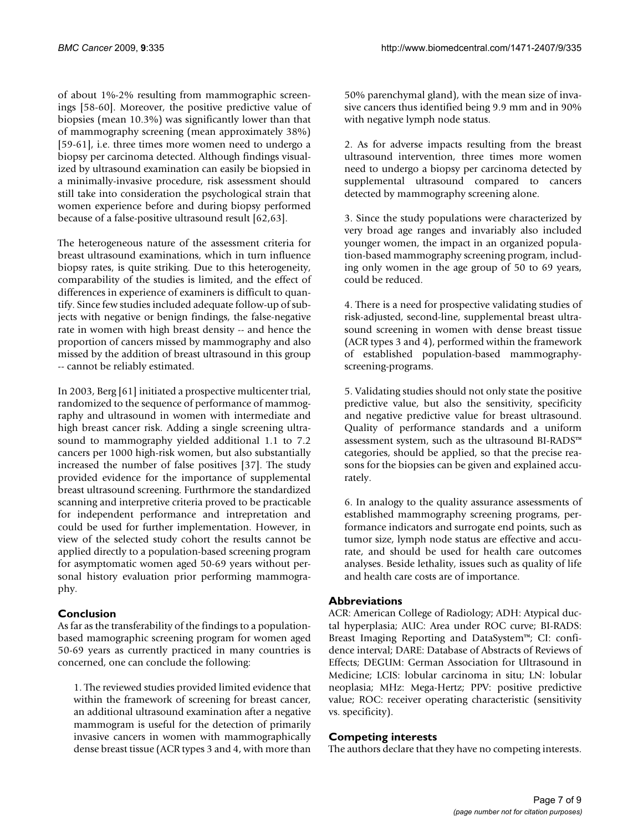of about 1%-2% resulting from mammographic screenings [58-60]. Moreover, the positive predictive value of biopsies (mean 10.3%) was significantly lower than that of mammography screening (mean approximately 38%) [59-61], i.e. three times more women need to undergo a biopsy per carcinoma detected. Although findings visualized by ultrasound examination can easily be biopsied in a minimally-invasive procedure, risk assessment should still take into consideration the psychological strain that women experience before and during biopsy performed because of a false-positive ultrasound result [62,63].

The heterogeneous nature of the assessment criteria for breast ultrasound examinations, which in turn influence biopsy rates, is quite striking. Due to this heterogeneity, comparability of the studies is limited, and the effect of differences in experience of examiners is difficult to quantify. Since few studies included adequate follow-up of subjects with negative or benign findings, the false-negative rate in women with high breast density -- and hence the proportion of cancers missed by mammography and also missed by the addition of breast ultrasound in this group -- cannot be reliably estimated.

In 2003, Berg [61] initiated a prospective multicenter trial, randomized to the sequence of performance of mammography and ultrasound in women with intermediate and high breast cancer risk. Adding a single screening ultrasound to mammography yielded additional 1.1 to 7.2 cancers per 1000 high-risk women, but also substantially increased the number of false positives [37]. The study provided evidence for the importance of supplemental breast ultrasound screening. Furthrmore the standardized scanning and interpretive criteria proved to be practicable for independent performance and intrepretation and could be used for further implementation. However, in view of the selected study cohort the results cannot be applied directly to a population-based screening program for asymptomatic women aged 50-69 years without personal history evaluation prior performing mammography.

# **Conclusion**

As far as the transferability of the findings to a populationbased mamographic screening program for women aged 50-69 years as currently practiced in many countries is concerned, one can conclude the following:

1. The reviewed studies provided limited evidence that within the framework of screening for breast cancer, an additional ultrasound examination after a negative mammogram is useful for the detection of primarily invasive cancers in women with mammographically dense breast tissue (ACR types 3 and 4, with more than

50% parenchymal gland), with the mean size of invasive cancers thus identified being 9.9 mm and in 90% with negative lymph node status.

2. As for adverse impacts resulting from the breast ultrasound intervention, three times more women need to undergo a biopsy per carcinoma detected by supplemental ultrasound compared to cancers detected by mammography screening alone.

3. Since the study populations were characterized by very broad age ranges and invariably also included younger women, the impact in an organized population-based mammography screening program, including only women in the age group of 50 to 69 years, could be reduced.

4. There is a need for prospective validating studies of risk-adjusted, second-line, supplemental breast ultrasound screening in women with dense breast tissue (ACR types 3 and 4), performed within the framework of established population-based mammographyscreening-programs.

5. Validating studies should not only state the positive predictive value, but also the sensitivity, specificity and negative predictive value for breast ultrasound. Quality of performance standards and a uniform assessment system, such as the ultrasound BI-RADS™ categories, should be applied, so that the precise reasons for the biopsies can be given and explained accurately.

6. In analogy to the quality assurance assessments of established mammography screening programs, performance indicators and surrogate end points, such as tumor size, lymph node status are effective and accurate, and should be used for health care outcomes analyses. Beside lethality, issues such as quality of life and health care costs are of importance.

# **Abbreviations**

ACR: American College of Radiology; ADH: Atypical ductal hyperplasia; AUC: Area under ROC curve; BI-RADS: Breast Imaging Reporting and DataSystem™; CI: confidence interval; DARE: Database of Abstracts of Reviews of Effects; DEGUM: German Association for Ultrasound in Medicine; LCIS: lobular carcinoma in situ; LN: lobular neoplasia; MHz: Mega-Hertz; PPV: positive predictive value; ROC: receiver operating characteristic (sensitivity vs. specificity).

# **Competing interests**

The authors declare that they have no competing interests.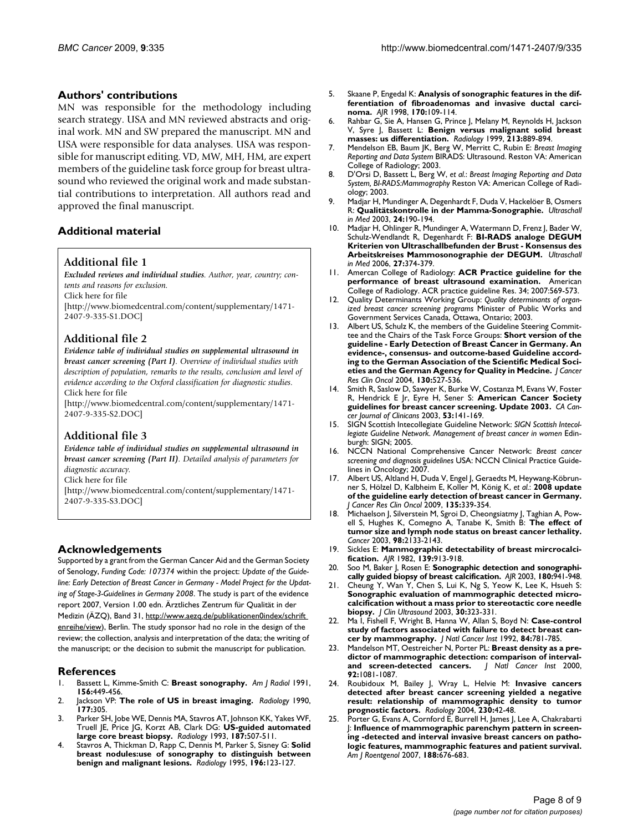#### **Authors' contributions**

MN was responsible for the methodology including search strategy. USA and MN reviewed abstracts and original work. MN and SW prepared the manuscript. MN and USA were responsible for data analyses. USA was responsible for manuscript editing. VD, MW, MH, HM, are expert members of the guideline task force group for breast ultrasound who reviewed the original work and made substantial contributions to interpretation. All authors read and approved the final manuscript.

#### **Additional material**

#### **Additional file 1**

*Excluded reviews and individual studies. Author, year, country; contents and reasons for exclusion.*

Click here for file

[\[http://www.biomedcentral.com/content/supplementary/1471-](http://www.biomedcentral.com/content/supplementary/1471-2407-9-335-S1.DOC) 2407-9-335-S1.DOC]

# **Additional file 2**

*Evidence table of individual studies on supplemental ultrasound in breast cancer screening (Part I). Overview of individual studies with description of population, remarks to the results, conclusion and level of evidence according to the Oxford classification for diagnostic studies.* Click here for file

[\[http://www.biomedcentral.com/content/supplementary/1471-](http://www.biomedcentral.com/content/supplementary/1471-2407-9-335-S2.DOC) 2407-9-335-S2.DOC]

#### **Additional file 3**

*Evidence table of individual studies on supplemental ultrasound in breast cancer screening (Part II). Detailed analysis of parameters for diagnostic accuracy.*

Click here for file

[\[http://www.biomedcentral.com/content/supplementary/1471-](http://www.biomedcentral.com/content/supplementary/1471-2407-9-335-S3.DOC) 2407-9-335-S3.DOC]

#### **Acknowledgements**

Supported by a grant from the German Cancer Aid and the German Society of Senology, *Funding Code: 107374* within the project: *Update of the Guideline: Early Detection of Breast Cancer in Germany - Model Project for the Updating of Stage-3-Guidelines in Germany 2008*. The study is part of the evidence report 2007, Version 1.00 edn. Ärztliches Zentrum für Qualität in der Medizin (ÄZQ), Band 31, http://www.aezq.de/publikationen0index/schrift [enreihe/view\)](http://www.aezq.de/publikationen0index/schriftenreihe/view), Berlin. The study sponsor had no role in the design of the review; the collection, analysis and interpretation of the data; the writing of the manuscript; or the decision to submit the manuscript for publication.

#### **References**

- 1. Bassett L, Kimme-Smith C: **Breast sonography.** *Am J Radiol* 1991, **156:**449-456.
- 2. Jackson VP: **[The role of US in breast imaging.](http://www.ncbi.nlm.nih.gov/entrez/query.fcgi?cmd=Retrieve&db=PubMed&dopt=Abstract&list_uids=2217759)** *Radiology* 1990, **177:**305.
- 3. Parker SH, Jobe WE, Dennis MA, Stavros AT, Johnson KK, Yakes WF, Truell JE, Price JG, Korzt AB, Clark DG: **[US-guided automated](http://www.ncbi.nlm.nih.gov/entrez/query.fcgi?cmd=Retrieve&db=PubMed&dopt=Abstract&list_uids=8475299) [large core breast biopsy.](http://www.ncbi.nlm.nih.gov/entrez/query.fcgi?cmd=Retrieve&db=PubMed&dopt=Abstract&list_uids=8475299)** *Radiology* 1993, **187:**507-511.
- 4. Stavros A, Thickman D, Rapp C, Dennis M, Parker S, Sisney G: **[Solid](http://www.ncbi.nlm.nih.gov/entrez/query.fcgi?cmd=Retrieve&db=PubMed&dopt=Abstract&list_uids=7784555) [breast nodules:use of sonography to distinguish between](http://www.ncbi.nlm.nih.gov/entrez/query.fcgi?cmd=Retrieve&db=PubMed&dopt=Abstract&list_uids=7784555) [benign and malignant lesions.](http://www.ncbi.nlm.nih.gov/entrez/query.fcgi?cmd=Retrieve&db=PubMed&dopt=Abstract&list_uids=7784555)** *Radiology* 1995, **196:**123-127.
- 5. Skaane P, Engedal K: **[Analysis of sonographic features in the dif](http://www.ncbi.nlm.nih.gov/entrez/query.fcgi?cmd=Retrieve&db=PubMed&dopt=Abstract&list_uids=9423610)[ferentiation of fibroadenomas and invasive ductal carci](http://www.ncbi.nlm.nih.gov/entrez/query.fcgi?cmd=Retrieve&db=PubMed&dopt=Abstract&list_uids=9423610)[noma.](http://www.ncbi.nlm.nih.gov/entrez/query.fcgi?cmd=Retrieve&db=PubMed&dopt=Abstract&list_uids=9423610)** *AJR* 1998, **170:**109-114.
- 6. Rahbar G, Sie A, Hansen G, Prince J, Melany M, Reynolds H, Jackson V, Syre J, Bassett L: **[Benign versus malignant solid breast](http://www.ncbi.nlm.nih.gov/entrez/query.fcgi?cmd=Retrieve&db=PubMed&dopt=Abstract&list_uids=10580971) [masses: us differentiation.](http://www.ncbi.nlm.nih.gov/entrez/query.fcgi?cmd=Retrieve&db=PubMed&dopt=Abstract&list_uids=10580971)** *Radiology* 1999, **213:**889-894.
- 7. Mendelson EB, Baum JK, Berg W, Merritt C, Rubin E: *Breast Imaging Reporting and Data System* BIRADS: Ultrasound. Reston VA: American College of Radiology; 2003.
- 8. D'Orsi D, Bassett L, Berg W, *et al.*: *Breast Imaging Reporting and Data System, BI-RADS:Mammography* Reston VA: American College of Radiology; 2003.
- 9. Madjar H, Mundinger A, Degenhardt F, Duda V, Hackelöer B, Osmers R: **Qualitätskontrolle in der Mamma-Sonographie.** *Ultraschall in Med* 2003, **24:**190-194.
- 10. Madjar H, Ohlinger R, Mundinger A, Watermann D, Frenz J, Bader W, Schulz-Wendlandt R, Degenhardt F: **BI-RADS analoge DEGUM Kriterien von Ultraschallbefunden der Brust - Konsensus des Arbeitskreises Mammosonographie der DEGUM.** *Ultraschall in Med* 2006, **27:**374-379.
- 11. Amercan College of Radiology: **ACR Practice guideline for the performance of breast ultrasound examination.** American College of Radiology. ACR practice guideline Res. 34; 2007:569-573.
- 12. Quality Determinants Working Group: *Quality determinants of organized breast cancer screening programs* Minister of Public Works and Government Services Canada, Ottawa, Ontario; 2003.
- 13. Albert US, Schulz K, the members of the Guideline Steering Committee and the Chairs of the Task Force Groups: **[Short version of the](http://www.ncbi.nlm.nih.gov/entrez/query.fcgi?cmd=Retrieve&db=PubMed&dopt=Abstract&list_uids=15221468) [guideline - Early Detection of Breast Cancer in Germany. An](http://www.ncbi.nlm.nih.gov/entrez/query.fcgi?cmd=Retrieve&db=PubMed&dopt=Abstract&list_uids=15221468) evidence-, consensus- and outcome-based Guideline according to the German Association of the Scientific Medical Soci[eties and the German Agency for Quality in Medcine.](http://www.ncbi.nlm.nih.gov/entrez/query.fcgi?cmd=Retrieve&db=PubMed&dopt=Abstract&list_uids=15221468)** *J Cancer Res Clin Oncol* 2004, **130:**527-536.
- 14. Smith R, Saslow D, Sawyer K, Burke W, Costanza M, Evans W, Foster R, Hendrick E Jr, Eyre H, Sener S: **American Cancer Society guidelines for breast cancer screening. Update 2003.** *CA Cancer Journal of Clinicans* 2003, **53:**141-169.
- 15. SIGN Scottish Intecollegiate Guideline Network: *SIGN Scottish Intecollegiate Guideline Network. Management of breast cancer in women* Edinburgh: SIGN; 2005.
- 16. NCCN National Comprehensive Cancer Network: *Breast cancer screening and diagnosis guidelines* USA: NCCN Clinical Practice Guidelines in Oncology; 2007.
- 17. Albert US, Altland H, Duda V, Engel J, Geraedts M, Heywang-Köbrunner S, Hölzel D, Kalbheim E, Koller M, König K, *et al.*: **[2008 update](http://www.ncbi.nlm.nih.gov/entrez/query.fcgi?cmd=Retrieve&db=PubMed&dopt=Abstract&list_uids=18661152) [of the guideline early detection of breast cancer in Germany.](http://www.ncbi.nlm.nih.gov/entrez/query.fcgi?cmd=Retrieve&db=PubMed&dopt=Abstract&list_uids=18661152)** *J Cancer Res Clin Oncol* 2009, **135:**339-354.
- 18. Michaelson J, Silverstein M, Sgroi D, Cheongsiatmy J, Taghian A, Powell S, Hughes K, Comegno A, Tanabe K, Smith B: **[The effect of](http://www.ncbi.nlm.nih.gov/entrez/query.fcgi?cmd=Retrieve&db=PubMed&dopt=Abstract&list_uids=14601082) [tumor size and lymph node status on breast cancer lethality.](http://www.ncbi.nlm.nih.gov/entrez/query.fcgi?cmd=Retrieve&db=PubMed&dopt=Abstract&list_uids=14601082)** *Cancer* 2003, **98:**2133-2143.
- 19. Sickles E: **[Mammographic detectability of breast mircrocalci](http://www.ncbi.nlm.nih.gov/entrez/query.fcgi?cmd=Retrieve&db=PubMed&dopt=Abstract&list_uids=6981974)[fication.](http://www.ncbi.nlm.nih.gov/entrez/query.fcgi?cmd=Retrieve&db=PubMed&dopt=Abstract&list_uids=6981974)** *AJR* 1982, **139:**913-918.
- 20. Soo M, Baker J, Rosen E: **[Sonographic detection and sonographi](http://www.ncbi.nlm.nih.gov/entrez/query.fcgi?cmd=Retrieve&db=PubMed&dopt=Abstract&list_uids=12646433)[cally guided biopsy of breast calcification.](http://www.ncbi.nlm.nih.gov/entrez/query.fcgi?cmd=Retrieve&db=PubMed&dopt=Abstract&list_uids=12646433)** *AJR* 2003, **180:**941-948.
- 21. Cheung Y, Wan Y, Chen S, Lui K, Ng S, Yeow K, Lee K, Hsueh S: **Sonographic evaluation of mammographic detected microcalcification without a mass prior to stereotactic core needle biopsy.** *J Clin Ultrasound* 2003, **30:**323-331.
- 22. Ma I, Fishell F, Wright B, Hanna W, Allan S, Boyd N: **[Case-control](http://www.ncbi.nlm.nih.gov/entrez/query.fcgi?cmd=Retrieve&db=PubMed&dopt=Abstract&list_uids=1573665) [study of factors associated with failure to detect breast can](http://www.ncbi.nlm.nih.gov/entrez/query.fcgi?cmd=Retrieve&db=PubMed&dopt=Abstract&list_uids=1573665)[cer by mammography.](http://www.ncbi.nlm.nih.gov/entrez/query.fcgi?cmd=Retrieve&db=PubMed&dopt=Abstract&list_uids=1573665)** *J Natl Cancer Inst* 1992, **84:**781-785.
- Mandelson MT, Oestreicher N, Porter PL: [Breast density as a pre](http://www.ncbi.nlm.nih.gov/entrez/query.fcgi?cmd=Retrieve&db=PubMed&dopt=Abstract&list_uids=10880551)dictor of mammographic detection: comparison of interval-<br>and screen-detected cancers. | Natl Cancer Inst 2000, [and screen-detected cancers.](http://www.ncbi.nlm.nih.gov/entrez/query.fcgi?cmd=Retrieve&db=PubMed&dopt=Abstract&list_uids=10880551) **92:**1081-1087.
- 24. Roubidoux M, Bailey J, Wray L, Helvie M: **[Invasive cancers](http://www.ncbi.nlm.nih.gov/entrez/query.fcgi?cmd=Retrieve&db=PubMed&dopt=Abstract&list_uids=14695385) [detected after breast cancer screening yielded a negative](http://www.ncbi.nlm.nih.gov/entrez/query.fcgi?cmd=Retrieve&db=PubMed&dopt=Abstract&list_uids=14695385) result: relationship of mammographic density to tumor [prognostic factors.](http://www.ncbi.nlm.nih.gov/entrez/query.fcgi?cmd=Retrieve&db=PubMed&dopt=Abstract&list_uids=14695385)** *Radiology* 2004, **230:**42-48.
- 25. Porter G, Evans A, Cornford E, Burrell H, James J, Lee A, Chakrabarti J: **Influence of mammographic parenchym pattern in screening -detected and interval invasive breast cancers on pathologic features, mammographic features and patient survival.** *Am J Roentgenol* 2007, **188:**676-683.